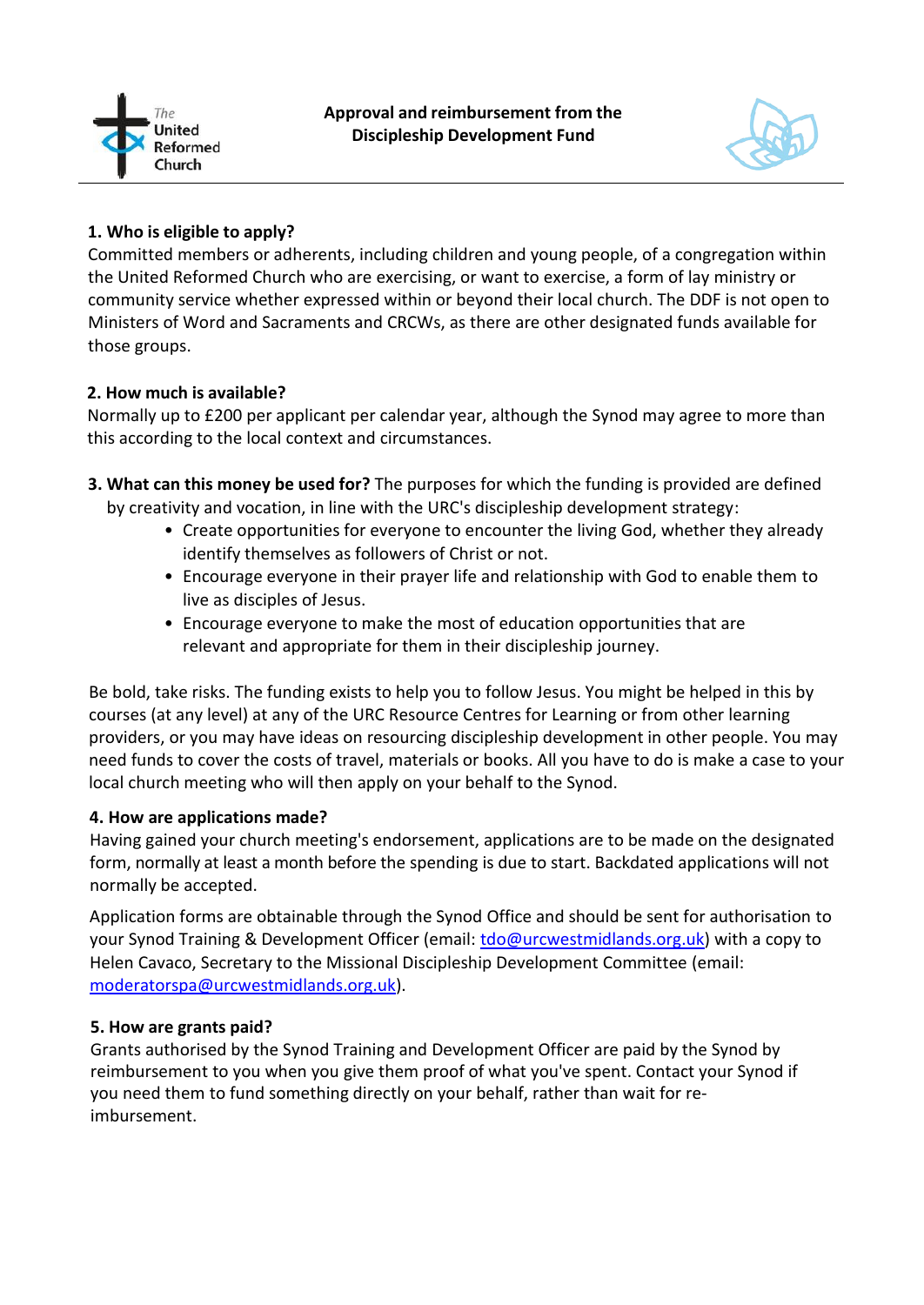



# **1. Who is eligible to apply?**

Committed members or adherents, including children and young people, of a congregation within the United Reformed Church who are exercising, or want to exercise, a form of lay ministry or community service whether expressed within or beyond their local church. The DDF is not open to Ministers of Word and Sacraments and CRCWs, as there are other designated funds available for those groups.

# **2. How much is available?**

Normally up to £200 per applicant per calendar year, although the Synod may agree to more than this according to the local context and circumstances.

- **3. What can this money be used for?** The purposes for which the funding is provided are defined by creativity and vocation, in line with the URC's discipleship development strategy:
	- Create opportunities for everyone to encounter the living God, whether they already identify themselves as followers of Christ or not.
	- Encourage everyone in their prayer life and relationship with God to enable them to live as disciples of Jesus.
	- Encourage everyone to make the most of education opportunities that are relevant and appropriate for them in their discipleship journey.

Be bold, take risks. The funding exists to help you to follow Jesus. You might be helped in this by courses (at any level) at any of the URC Resource Centres for Learning or from other learning providers, or you may have ideas on resourcing discipleship development in other people. You may need funds to cover the costs of travel, materials or books. All you have to do is make a case to your local church meeting who will then apply on your behalf to the Synod.

## **4. How are applications made?**

Having gained your church meeting's endorsement, applications are to be made on the designated form, normally at least a month before the spending is due to start. Backdated applications will not normally be accepted.

Application forms are obtainable through the Synod Office and should be sent for authorisation to your Synod Training & Development Officer (email: [tdo@urcwestmidlands.org.uk\)](mailto:tdo@urcwestmidlands.org.uk) with a copy to Helen Cavaco, Secretary to the Missional Discipleship Development Committee (email: [moderatorspa@urcwestmidlands.org.uk\)](mailto:moderatorspa@urcwestmidlands.org.uk).

## **5. How are grants paid?**

Grants authorised by the Synod Training and Development Officer are paid by the Synod by reimbursement to you when you give them proof of what you've spent. Contact your Synod if you need them to fund something directly on your behalf, rather than wait for reimbursement.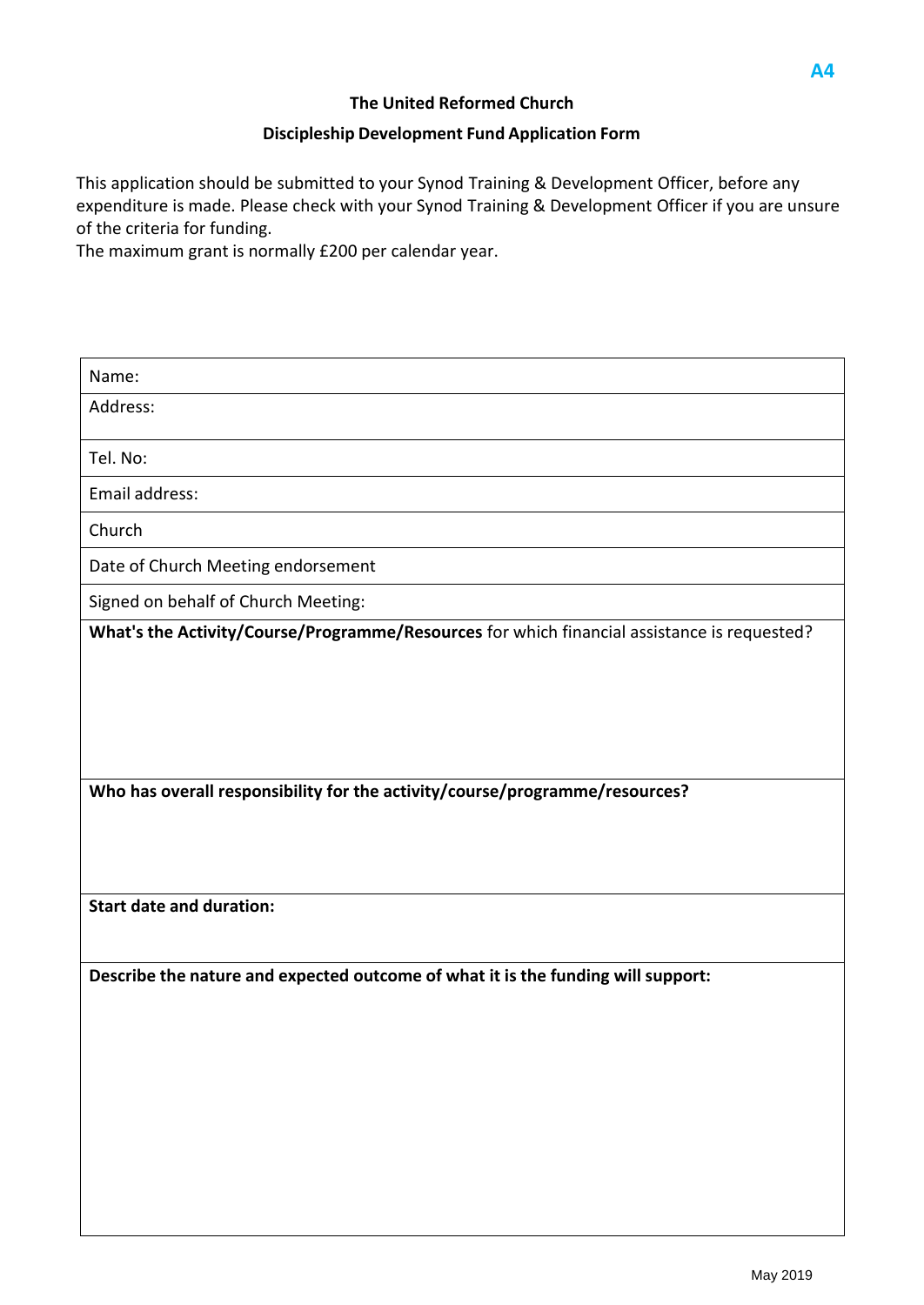#### **Discipleship Development Fund Application Form**

This application should be submitted to your Synod Training & Development Officer, before any expenditure is made. Please check with your Synod Training & Development Officer if you are unsure of the criteria for funding.

The maximum grant is normally £200 per calendar year.

| Name:                                                                                       |  |  |  |
|---------------------------------------------------------------------------------------------|--|--|--|
| Address:                                                                                    |  |  |  |
| Tel. No:                                                                                    |  |  |  |
| Email address:                                                                              |  |  |  |
| Church                                                                                      |  |  |  |
| Date of Church Meeting endorsement                                                          |  |  |  |
| Signed on behalf of Church Meeting:                                                         |  |  |  |
| What's the Activity/Course/Programme/Resources for which financial assistance is requested? |  |  |  |
|                                                                                             |  |  |  |
|                                                                                             |  |  |  |
|                                                                                             |  |  |  |
|                                                                                             |  |  |  |
| Who has overall responsibility for the activity/course/programme/resources?                 |  |  |  |
|                                                                                             |  |  |  |
|                                                                                             |  |  |  |
| <b>Start date and duration:</b>                                                             |  |  |  |
|                                                                                             |  |  |  |
| Describe the nature and expected outcome of what it is the funding will support:            |  |  |  |
|                                                                                             |  |  |  |
|                                                                                             |  |  |  |
|                                                                                             |  |  |  |
|                                                                                             |  |  |  |
|                                                                                             |  |  |  |
|                                                                                             |  |  |  |
|                                                                                             |  |  |  |